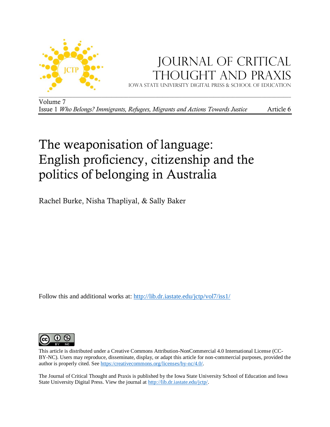

# JOURNAL OF CRITICAL Thought and Praxis Iowa state university digital press & School of education

Volume 7 Issue 1 *Who Belongs? Immigrants, Refugees, Migrants and Actions Towards Justice* Article 6

# The weaponisation of language: English proficiency, citizenship and the politics of belonging in Australia

Rachel Burke, Nisha Thapliyal, & Sally Baker

Follow this and additional works at: [http://lib.dr.iastate.edu/jctp/vol7/iss1/](http://lib.dr.iastate.edu/jctp/vol6/iss3/)



This article is distributed under a Creative Commons Attribution-NonCommercial 4.0 International License (CC-BY-NC). Users may reproduce, disseminate, display, or adapt this article for non-commercial purposes, provided the author is properly cited. See [https:/creativecommons.org/licenses/by-nc/4.0/.](https://creativecommons.org/licenses/by-nc/4.0/) 

The Journal of Critical Thought and Praxis is published by the Iowa State University School of Education and Iowa State University Digital Press. View the journal at [http://lib.dr.iastate.edu/jctp/.](http://lib.dr.iastate.edu/jctp/)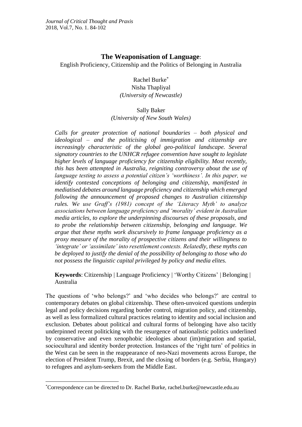# **The Weaponisation of Language**:

English Proficiency, Citizenship and the Politics of Belonging in Australia

# Rachel Burke\*

Nisha Thapliyal *(University of Newcastle)*

## Sally Baker

*(University of New South Wales)*

*Calls for greater protection of national boundaries – both physical and ideological – and the politicising of immigration and citizenship are increasingly characteristic of the global geo-political landscape. Several signatory countries to the UNHCR refugee convention have sought to legislate higher levels of language proficiency for citizenship eligibility. Most recently, this has been attempted in Australia, reigniting controversy about the use of language testing to assess a potential citizen's 'worthiness'. In this paper, we identify contested conceptions of belonging and citizenship, manifested in mediatised debates around language proficiency and citizenship which emerged following the announcement of proposed changes to Australian citizenship rules. We use Graff's (1981) concept of the 'Literacy Myth' to analyze associations between language proficiency and 'morality' evident in Australian media articles, to explore the underpinning discourses of these proposals, and to probe the relationship between citizenship, belonging and language. We argue that these myths work discursively to frame language proficiency as a proxy measure of the morality of prospective citizens and their willingness to 'integrate' or 'assimilate' into resettlement contexts. Relatedly, these myths can be deployed to justify the denial of the possibility of belonging to those who do not possess the linguistic capital privileged by policy and media elites.*

**Keywords**: Citizenship | Language Proficiency | 'Worthy Citizens' | Belonging | Australia

The questions of 'who belongs?' and 'who decides who belongs?' are central to contemporary debates on global citizenship. These often-unvoiced questions underpin legal and policy decisions regarding border control, migration policy, and citizenship, as well as less formalized cultural practices relating to identity and social inclusion and exclusion. Debates about political and cultural forms of belonging have also tacitly underpinned recent politicking with the resurgence of nationalistic politics underlined by conservative and even xenophobic ideologies about (im)migration and spatial, sociocultural and identity border protection. Instances of the 'right turn' of politics in the West can be seen in the reappearance of neo-Nazi movements across Europe, the election of President Trump, Brexit, and the closing of borders (e.g. Serbia, Hungary) to refugees and asylum-seekers from the Middle East.

<sup>1</sup> \*Correspondence can be directed to Dr. Rachel Burke, [rachel.burke@newcastle.edu.au](mailto:rachel.burke@newcastle.edu.au)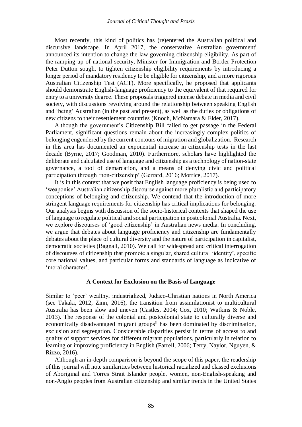Most recently, this kind of politics has (re)entered the Australian political and discursive landscape. In April 2017, the conservative Australian government<sup>i</sup> announced its intention to change the law governing citizenship eligibility. As part of the ramping up of national security, Minister for Immigration and Border Protection Peter Dutton sought to tighten citizenship eligibility requirements by introducing a longer period of mandatory residency to be eligible for citizenship, and a more rigorous Australian Citizenship Test (ACT). More specifically, he proposed that applicants should demonstrate English-language proficiency to the equivalent of that required for entry to a university degree. These proposals triggered intense debate in media and civil society, with discussions revolving around the relationship between speaking English and 'being' Australian (in the past and present), as well as the duties or obligations of new citizens to their resettlement countries (Knoch, McNamara & Elder, 2017).

Although the government's Citizenship Bill failed to get passage in the Federal Parliament, significant questions remain about the increasingly complex politics of belonging engendered by the current contours of migration and globalization. Research in this area has documented an exponential increase in citizenship tests in the last decade (Byrne, 2017; Goodman, 2010). Furthermore, scholars have highlighted the deliberate and calculated use of language and citizenship as a technology of nation-state governance, a tool of demarcation, and a means of denying civic and political participation through 'non-citizenship' (Gerrard, 2016; Morrice, 2017).

It is in this context that we posit that English language proficiency is being used to 'weaponise' Australian citizenship discourse against more pluralistic and participatory conceptions of belonging and citizenship. We contend that the introduction of more stringent language requirements for citizenship has critical implications for belonging. Our analysis begins with discussion of the socio-historical contexts that shaped the use of language to regulate political and social participation in postcolonial Australia. Next, we explore discourses of 'good citizenship' in Australian news media. In concluding, we argue that debates about language proficiency and citizenship are fundamentally debates about the place of cultural diversity and the nature of participation in capitalist, democratic societies (Bagnall, 2010). We call for widespread and critical interrogation of discourses of citizenship that promote a singular, shared cultural 'identity', specific core national values, and particular forms and standards of language as indicative of 'moral character'.

#### **A Context for Exclusion on the Basis of Language**

Similar to 'peer' wealthy, industrialized, Judaeo-Christian nations in North America (see Takaki, 2012; Zinn, 2016), the transition from assimilationist to multicultural Australia has been slow and uneven (Castles, 2004; Cox, 2010; Watkins & Noble, 2013). The response of the colonial and postcolonial state to culturally diverse and economically disadvantaged migrant groups<sup>ii</sup> has been dominated by discrimination, exclusion and segregation. Considerable disparities persist in terms of access to and quality of support services for different migrant populations, particularly in relation to learning or improving proficiency in English (Farrell, 2006; Terry, Naylor, Nguyen, & Rizzo, 2016).

Although an in-depth comparison is beyond the scope of this paper, the readership of this journal will note similarities between historical racialized and classed exclusions of Aboriginal and Torres Strait Islander people, women, non-English-speaking and non-Anglo peoples from Australian citizenship and similar trends in the United States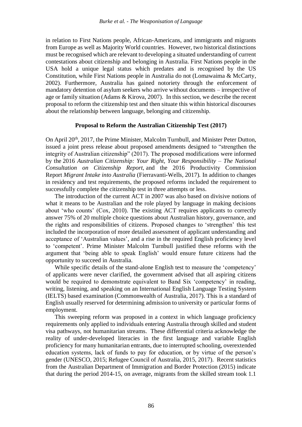in relation to First Nations people, African-Americans, and immigrants and migrants from Europe as well as Majority World countries. However, two historical distinctions must be recognised which are relevant to developing a situated understanding of current contestations about citizenship and belonging in Australia. First Nations people in the USA hold a unique legal status which predates and is recognised by the US Constitution, while First Nations people in Australia do not (Lomawaima & McCarty, 2002). Furthermore, Australia has gained notoriety through the enforcement of mandatory detention of asylum seekers who arrive without documents – irrespective of age or family situation (Adams & Kirova, 2007). In this section, we describe the recent proposal to reform the citizenship test and then situate this within historical discourses about the relationship between language, belonging and citizenship.

#### **Proposal to Reform the Australian Citizenship Test (2017)**

On April 20th, 2017, the Prime Minister, Malcolm Turnbull, and Minister Peter Dutton, issued a joint press release about proposed amendments designed to "strengthen the integrity of Australian citizenship" (2017). The proposed modifications were informed by the 2016 *Australian Citizenship: Your Right, Your Responsibility – The National Consultation on Citizenship Report,* and the 2016 Productivity Commission Report *Migrant Intake into Australia* (Fierravanti-Wells, 2017)*.* In addition to changes in residency and test requirements, the proposed reforms included the requirement to successfully complete the citizenship test in three attempts or less.

The introduction of the current ACT in 2007 was also based on divisive notions of what it means to be Australian and the role played by language in making decisions about 'who counts' (Cox, 2010). The existing ACT requires applicants to correctly answer 75% of 20 multiple choice questions about Australian history, governance, and the rights and responsibilities of citizens. Proposed changes to 'strengthen' this test included the incorporation of more detailed assessment of applicant understanding and acceptance of 'Australian values', and a rise in the required English proficiency level to 'competent'. Prime Minister Malcolm Turnbull justified these reforms with the argument that 'being able to speak English' would ensure future citizens had the opportunity to succeed in Australia.

While specific details of the stand-alone English test to measure the 'competency' of applicants were never clarified, the government advised that all aspiring citizens would be required to demonstrate equivalent to Band Six 'competency' in reading, writing, listening, and speaking on an International English Language Testing System (IELTS) based examination (Commonwealth of Australia, 2017). This is a standard of English usually reserved for determining admission to university or particular forms of employment.

This sweeping reform was proposed in a context in which language proficiency requirements only applied to individuals entering Australia through skilled and student visa pathways, not humanitarian streams. These differential criteria acknowledge the reality of under-developed literacies in the first language and variable English proficiency for many humanitarian entrants, due to interrupted schooling, overextended education systems, lack of funds to pay for education, or by virtue of the person's gender (UNESCO, 2015; Refugee Council of Australia, 2015, 2017). Recent statistics from the Australian Department of Immigration and Border Protection (2015) indicate that during the period 2014-15, on average, migrants from the skilled stream took 1.1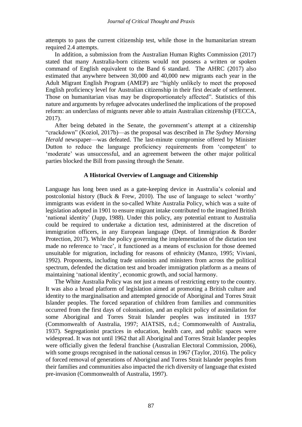attempts to pass the current citizenship test, while those in the humanitarian stream required 2.4 attempts.

In addition, a submission from the Australian Human Rights Commission (2017) stated that many Australia-born citizens would not possess a written or spoken command of English equivalent to the Band 6 standard. The AHRC (2017) also estimated that anywhere between 30,000 and 40,000 new migrants each year in the Adult Migrant English Program (AMEP) are "highly unlikely to meet the proposed English proficiency level for Australian citizenship in their first decade of settlement. Those on humanitarian visas may be disproportionately affected". Statistics of this nature and arguments by refugee advocates underlined the implications of the proposed reform: an underclass of migrants never able to attain Australian citizenship (FECCA, 2017).

After being debated in the Senate, the government's attempt at a citizenship "crackdown" (Koziol, 2017b)—as the proposal was described in *The Sydney Morning Herald* newspaper—was defeated. The last-minute compromise offered by Minister Dutton to reduce the language proficiency requirements from 'competent' to 'moderate' was unsuccessful, and an agreement between the other major political parties blocked the Bill from passing through the Senate.

#### **A Historical Overview of Language and Citizenship**

Language has long been used as a gate-keeping device in Australia's colonial and postcolonial history (Buck & Frew, 2010). The use of language to select 'worthy' immigrants was evident in the so-called White Australia Policy, which was a suite of legislation adopted in 1901 to ensure migrant intake contributed to the imagined British 'national identity' (Jupp, 1988). Under this policy, any potential entrant to Australia could be required to undertake a dictation test, administered at the discretion of immigration officers, in any European language (Dept. of Immigration & Border Protection, 2017). While the policy governing the implementation of the dictation test made no reference to 'race', it functioned as a means of exclusion for those deemed unsuitable for migration, including for reasons of ethnicity (Manzo, 1995; Viviani, 1992). Proponents, including trade unionists and ministers from across the political spectrum, defended the dictation test and broader immigration platform as a means of maintaining 'national identity', economic growth, and social harmony.

The White Australia Policy was not just a means of restricting entry to the country. It was also a broad platform of legislation aimed at promoting a British culture and identity to the marginalisation and attempted genocide of Aboriginal and Torres Strait Islander peoples. The forced separation of children from families and communities occurred from the first days of colonisation, and an explicit policy of assimilation for some Aboriginal and Torres Strait Islander peoples was instituted in 1937 (Commonwealth of Australia, 1997; AIATSIS, n.d.; Commonwealth of Australia, 1937). Segregationist practices in education, health care, and public spaces were widespread. It was not until 1962 that all Aboriginal and Torres Strait Islander peoples were officially given the federal franchise (Australian Electoral Commission, 2006), with some groups recognised in the national census in 1967 (Taylor, 2016). The policy of forced removal of generations of Aboriginal and Torres Strait Islander peoples from their families and communities also impacted the rich diversity of language that existed pre-invasion (Commonwealth of Australia, 1997).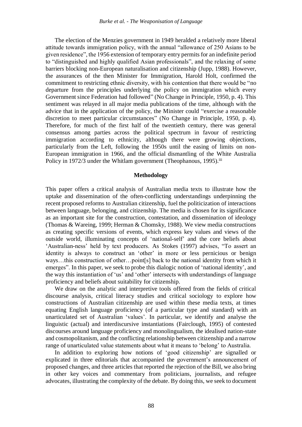The election of the Menzies government in 1949 heralded a relatively more liberal attitude towards immigration policy, with the annual "allowance of 250 Asians to be given residence", the 1956 extension of temporary entry permits for an indefinite period to "distinguished and highly qualified Asian professionals", and the relaxing of some barriers blocking non-European naturalisation and citizenship (Jupp, 1988). However, the assurances of the then Minister for Immigration, Harold Holt, confirmed the commitment to restricting ethnic diversity, with his contention that there would be "no departure from the principles underlying the policy on immigration which every Government since Federation had followed" (No Change in Principle, 1950, p. 4). This sentiment was relayed in all major media publications of the time, although with the advice that in the application of the policy, the Minister could "exercise a reasonable discretion to meet particular circumstances" (No Change in Principle, 1950, p. 4). Therefore, for much of the first half of the twentieth century, there was general consensus among parties across the political spectrum in favour of restricting immigration according to ethnicity, although there were growing objections, particularly from the Left, following the 1950s until the easing of limits on non-European immigration in 1966, and the official dismantling of the White Australia Policy in 1972/3 under the Whitlam government (Theophanous, 1995).<sup>iii</sup>

#### **Methodology**

This paper offers a critical analysis of Australian media texts to illustrate how the uptake and dissemination of the often-conflicting understandings underpinning the recent proposed reforms to Australian citizenship, fuel the politicization of interactions between language, belonging, and citizenship. The media is chosen for its significance as an important site for the construction, contestation, and dissemination of ideology (Thomas & Wareing, 1999; Herman & Chomsky, 1988). We view media constructions as creating specific versions of events, which express key values and views of the outside world, illuminating concepts of 'national-self' and the core beliefs about 'Australian-ness' held by text producers. As Stokes (1997) advises, "To assert an identity is always to construct an 'other' in more or less pernicious or benign ways…this construction of other…point[s] back to the national identity from which it emerges". In this paper, we seek to probe this dialogic notion of 'national identity', and the way this instantiation of 'us' and 'other' intersects with understandings of language proficiency and beliefs about suitability for citizenship.

We draw on the analytic and interpretive tools offered from the fields of critical discourse analysis, critical literacy studies and critical sociology to explore how constructions of Australian citizenship are used within these media texts, at times equating English language proficiency (of a particular type and standard) with an unarticulated set of Australian 'values'. In particular, we identify and analyse the linguistic (actual) and interdiscursive instantiations (Fairclough, 1995) of contested discourses around language proficiency and monolingualism, the idealised nation-state and cosmopolitanism, and the conflicting relationship between citizenship and a narrow range of unarticulated value statements about what it means to 'belong' to Australia.

In addition to exploring how notions of 'good citizenship' are signalled or explicated in three editorials that accompanied the government's announcement of proposed changes, and three articles that reported the rejection of the Bill, we also bring in other key voices and commentary from politicians, journalists, and refugee advocates, illustrating the complexity of the debate. By doing this, we seek to document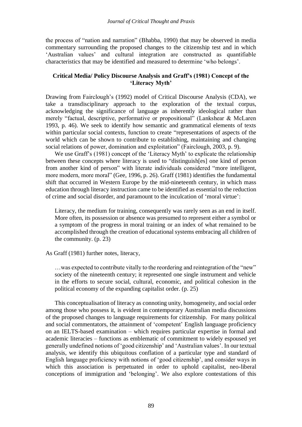the process of "nation and narration" (Bhabba, 1990) that may be observed in media commentary surrounding the proposed changes to the citizenship test and in which 'Australian values' and cultural integration are constructed as quantifiable characteristics that may be identified and measured to determine 'who belongs'.

#### **Critical Media/ Policy Discourse Analysis and Graff's (1981) Concept of the 'Literacy Myth'**

Drawing from Fairclough's (1992) model of Critical Discourse Analysis (CDA), we take a transdisciplinary approach to the exploration of the textual corpus, acknowledging the significance of language as inherently ideological rather than merely "factual, descriptive, performative or propositional" (Lankshear & McLaren 1993, p. 46). We seek to identify how semantic and grammatical elements of texts within particular social contexts, function to create "representations of aspects of the world which can be shown to contribute to establishing, maintaining and changing social relations of power, domination and exploitation" (Fairclough, 2003, p. 9).

We use Graff's (1981) concept of the 'Literacy Myth' to explicate the relationship between these concepts where literacy is used to "distinguish[es] one kind of person from another kind of person" with literate individuals considered "more intelligent, more modern, more moral" (Gee, 1996, p. 26). Graff (1981) identifies the fundamental shift that occurred in Western Europe by the mid-nineteenth century, in which mass education through literacy instruction came to be identified as essential to the reduction of crime and social disorder, and paramount to the inculcation of 'moral virtue':

Literacy, the medium for training, consequently was rarely seen as an end in itself. More often, its possession or absence was presumed to represent either a symbol or a symptom of the progress in moral training or an index of what remained to be accomplished through the creation of educational systems embracing all children of the community. (p. 23)

#### As Graff (1981) further notes, literacy,

…was expected to contribute vitally to the reordering and reintegration of the "new" society of the nineteenth century; it represented one single instrument and vehicle in the efforts to secure social, cultural, economic, and political cohesion in the political economy of the expanding capitalist order. (p. 25)

This conceptualisation of literacy as connoting unity, homogeneity, and social order among those who possess it, is evident in contemporary Australian media discussions of the proposed changes to language requirements for citizenship. For many political and social commentators, the attainment of 'competent' English language proficiency on an IELTS-based examination – which requires particular expertise in formal and academic literacies – functions as emblematic of commitment to widely espoused yet generally undefined notions of 'good citizenship' and 'Australian values'. In our textual analysis, we identify this ubiquitous conflation of a particular type and standard of English language proficiency with notions of 'good citizenship', and consider ways in which this association is perpetuated in order to uphold capitalist, neo-liberal conceptions of immigration and 'belonging'. We also explore contestations of this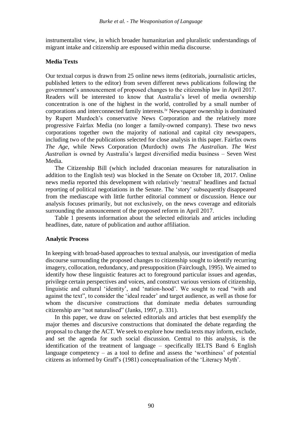instrumentalist view, in which broader humanitarian and pluralistic understandings of migrant intake and citizenship are espoused within media discourse.

#### **Media Texts**

Our textual corpus is drawn from 25 online news items (editorials, journalistic articles, published letters to the editor) from seven different news publications following the government's announcement of proposed changes to the citizenship law in April 2017. Readers will be interested to know that Australia's level of media ownership concentration is one of the highest in the world, controlled by a small number of corporations and interconnected family interests.iv Newspaper ownership is dominated by Rupert Murdoch's conservative News Corporation and the relatively more progressive Fairfax Media (no longer a family-owned company). These two news corporations together own the majority of national and capital city newspapers, including two of the publications selected for close analysis in this paper. Fairfax owns *The Age*, while News Corporation (Murdoch) owns *The Australian*. *The West Australian* is owned by Australia's largest diversified media business – Seven West Media.

The Citizenship Bill (which included draconian measures for naturalisation in addition to the English test) was blocked in the Senate on October 18, 2017. Online news media reported this development with relatively 'neutral' headlines and factual reporting of political negotiations in the Senate. The 'story' subsequently disappeared from the mediascape with little further editorial comment or discussion. Hence our analysis focuses primarily, but not exclusively, on the news coverage and editorials surrounding the announcement of the proposed reform in April 2017.

Table 1 presents information about the selected editorials and articles including headlines, date, nature of publication and author affiliation.

#### **Analytic Process**

In keeping with broad-based approaches to textual analysis, our investigation of media discourse surrounding the proposed changes to citizenship sought to identify recurring imagery, collocation, redundancy, and presupposition (Fairclough, 1995). We aimed to identify how these linguistic features act to foreground particular issues and agendas, privilege certain perspectives and voices, and construct various versions of citizenship, linguistic and cultural 'identity', and 'nation-hood'. We sought to read "with and against the text", to consider the 'ideal reader' and target audience, as well as those for whom the discursive constructions that dominate media debates surrounding citizenship are "not naturalised" (Janks, 1997, p. 331).

In this paper, we draw on selected editorials and articles that best exemplify the major themes and discursive constructions that dominated the debate regarding the proposal to change the ACT. We seek to explore how media texts may inform, exclude, and set the agenda for such social discussion. Central to this analysis, is the identification of the treatment of language – specifically IELTS Band 6 English language competency – as a tool to define and assess the 'worthiness' of potential citizens as informed by Graff's (1981) conceptualisation of the 'Literacy Myth'.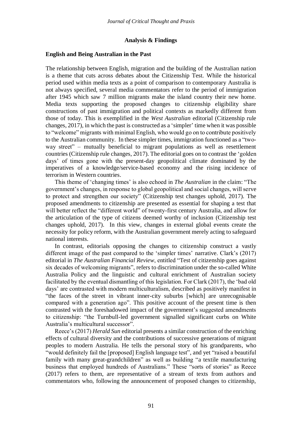#### **Analysis & Findings**

#### **English and Being Australian in the Past**

The relationship between English, migration and the building of the Australian nation is a theme that cuts across debates about the Citizenship Test. While the historical period used within media texts as a point of comparison to contemporary Australia is not always specified, several media commentators refer to the period of immigration after 1945 which saw 7 million migrants make the island country their new home. Media texts supporting the proposed changes to citizenship eligibility share constructions of past immigration and political contexts as markedly different from those of today. This is exemplified in the *West Australian* editorial (Citizenship rule changes, 2017), in which the past is constructed as a 'simpler' time when it was possible to "welcome" migrants with minimal English, who would go on to contribute positively to the Australian community. In these simpler times, immigration functioned as a "twoway street" *–* mutually beneficial to migrant populations as well as resettlement countries (Citizenship rule changes, 2017). The editorial goes on to contrast the 'golden days' of times gone with the present-day geopolitical climate dominated by the imperatives of a knowledge/service-based economy and the rising incidence of terrorism in Western countries.

This theme of 'changing times' is also echoed in *The Australian* in the claim: "The government's changes, in response to global geopolitical and social changes, will serve to protect and strengthen our society" (Citizenship test changes uphold, 2017). The proposed amendments to citizenship are presented as essential for shaping a test that will better reflect the "different world" of twenty-first century Australia, and allow for the articulation of the type of citizens deemed worthy of inclusion (Citizenship test changes uphold, 2017). In this view, changes in external global events create the necessity for policy reform, with the Australian government merely acting to safeguard national interests.

In contrast, editorials opposing the changes to citizenship construct a vastly different image of the past compared to the 'simpler times' narrative. Clark's (2017) editorial in *The Australian Financial Review*, entitled "Test of citizenship goes against six decades of welcoming migrants", refers to discrimination under the so-called White Australia Policy and the linguistic and cultural enrichment of Australian society facilitated by the eventual dismantling of this legislation. For Clark (2017), the 'bad old days' are contrasted with modern multiculturalism, described as positively manifest in "the faces of the street in vibrant inner-city suburbs [which] are unrecognisable compared with a generation ago". This positive account of the present time is then contrasted with the foreshadowed impact of the government's suggested amendments to citizenship: "the Turnbull-led government signalled significant curbs on White Australia's multicultural successor".

Reece's (2017) *Herald Sun* editorial presents a similar construction of the enriching effects of cultural diversity and the contributions of successive generations of migrant peoples to modern Australia. He tells the personal story of his grandparents, who "would definitely fail the [proposed] English language test", and yet "raised a beautiful family with many great-grandchildren" as well as building "a textile manufacturing business that employed hundreds of Australians." These "sorts of stories" as Reece (2017) refers to them, are representative of a stream of texts from authors and commentators who, following the announcement of proposed changes to citizenship,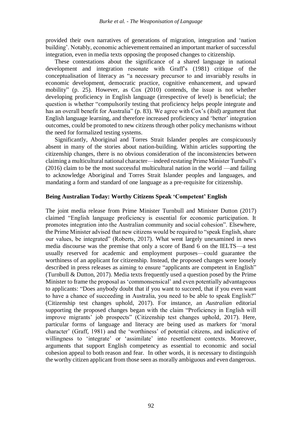provided their own narratives of generations of migration, integration and 'nation building'. Notably, economic achievement remained an important marker of successful integration, even in media texts opposing the proposed changes to citizenship.

These contestations about the significance of a shared language in national development and integration resonate with Graff's (1981) critique of the conceptualisation of literacy as "a necessary precursor to and invariably results in economic development, democratic practice, cognitive enhancement, and upward mobility" (p. 25). However, as Cox (2010) contends, the issue is not whether developing proficiency in English language (irrespective of level) is beneficial; the question is whether "compulsorily testing that proficiency helps people integrate and has an overall benefit for Australia" (p. 83). We agree with Cox's (ibid) argument that English language learning, and therefore increased proficiency and 'better' integration outcomes, could be promoted to new citizens through other policy mechanisms without the need for formalized testing systems.

Significantly, Aboriginal and Torres Strait Islander peoples are conspicuously absent in many of the stories about nation-building. Within articles supporting the citizenship changes, there is no obvious consideration of the inconsistencies between claiming a multicultural national character—indeed restating Prime Minister Turnbull's (2016) claim to be the most successful multicultural nation in the world —and failing to acknowledge Aboriginal and Torres Strait Islander peoples and languages, and mandating a form and standard of one language as a pre-requisite for citizenship.

#### **Being Australian Today: Worthy Citizens Speak 'Competent' English**

The joint media release from Prime Minister Turnbull and Minister Dutton (2017) claimed "English language proficiency is essential for economic participation. It promotes integration into the Australian community and social cohesion". Elsewhere, the Prime Minister advised that new citizens would be required to "speak English, share our values, be integrated" (Roberts, 2017). What went largely unexamined in news media discourse was the premise that only a score of Band 6 on the IELTS—a test usually reserved for academic and employment purposes—could guarantee the worthiness of an applicant for citizenship. Instead, the proposed changes were loosely described in press releases as aiming to ensure "applicants are competent in English" (Turnbull & Dutton, 2017). Media texts frequently used a question posed by the Prime Minister to frame the proposal as 'commonsensical' and even potentially advantageous to applicants: "Does anybody doubt that if you want to succeed, that if you even want to have a chance of succeeding in Australia, you need to be able to speak English?" (Citizenship test changes uphold, 2017). For instance, an *Australian* editorial supporting the proposed changes began with the claim "Proficiency in English will improve migrants' job prospects" (Citizenship test changes uphold, 2017). Here, particular forms of language and literacy are being used as markers for 'moral character' (Graff, 1981) and the 'worthiness' of potential citizens, and indicative of willingness to 'integrate' or 'assimilate' into resettlement contexts. Moreover, arguments that support English competency as essential to economic and social cohesion appeal to both reason and fear. In other words, it is necessary to distinguish the worthy citizen applicant from those seen as morally ambiguous and even dangerous.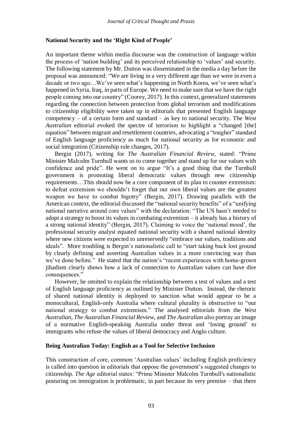#### **National Security and the 'Right Kind of People'**

An important theme within media discourse was the construction of language within the process of 'nation building' and its perceived relationship to 'values' and security. The following statement by Mr. Dutton was disseminated in the media a day before the proposal was announced: "We are living in a very different age than we were in even a decade or two ago…We've seen what's happening in North Korea, we've seen what's happened in Syria, Iraq, in parts of Europe. We need to make sure that we have the right people coming into our country" (Coorey, 2017). In this context, generalized statements regarding the connection between protection from global terrorism and modifications to citizenship eligibility were taken up in editorials that presented English language competency – of a certain form and standard – as key to national security. The *West Australian* editorial evoked the spectre of terrorism to highlight a "changed [the] equation" between migrant and resettlement countries, advocating a "tougher" standard of English language proficiency as much for national security as for economic and social integration (Citizenship rule changes, 2017).

Bergin (2017), writing for *The Australian Financial Review*, stated: "Prime Minister Malcolm Turnbull wants us to come together and stand up for our values with confidence and pride". He went on to argue "It's a good thing that the Turnbull government is promoting liberal democratic values through new citizenship requirements…This should now be a core component of its plan to counter extremism: to defeat extremism we shouldn't forget that our own liberal values are the greatest weapon we have to combat bigotry" (Bergin, 2017). Drawing parallels with the American context, the editorial discussed the "national security benefits" of a "unifying national narrative around core values" with the declaration: "The US hasn't needed to adopt a strategy to boost its values in combating extremism – it already has a history of a strong national identity" (Bergin, 2017). Claiming to voice the 'national mood', the professional security analyst equated national security with a shared national identity where new citizens were expected to unreservedly "embrace our values, traditions and ideals". More troubling is Bergin's nationalistic call to "start taking back lost ground by clearly defining and asserting Australian values in a more convincing way than we've done before." He stated that the nation's "recent experiences with home-grown jihadism clearly shows how a lack of connection to Australian values can have dire consequences."

However, he omitted to explain the relationship between a test of values and a test of English language proficiency as outlined by Minister Dutton. Instead, the rhetoric of shared national identity is deployed to sanction what would appear to be a monocultural, English-only Australia where cultural plurality is obstructive to "our national strategy to combat extremism." The analysed editorials from the *West Australian*, *The Australian Financial Review*, and *The Australian* also portray an image of a normative English-speaking Australia under threat and 'losing ground' to immigrants who refuse the values of liberal democracy and Anglo culture.

#### **Being Australian Today: English as a Tool for Selective Inclusion**

This construction of core, common 'Australian values' including English proficiency is called into question in editorials that oppose the government's suggested changes to citizenship. *The Age* editorial states: "Prime Minister Malcolm Turnbull's nationalistic posturing on immigration is problematic, in part because its very premise – that there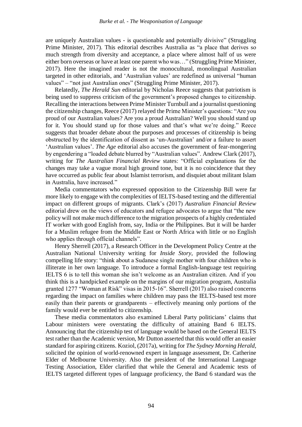are uniquely Australian values - is questionable and potentially divisive" (Struggling Prime Minister, 2017). This editorial describes Australia as "a place that derives so much strength from diversity and acceptance, a place where almost half of us were either born overseas or have at least one parent who was…" (Struggling Prime Minister, 2017). Here the imagined reader is not the monocultural, monolingual Australian targeted in other editorials, and 'Australian values' are redefined as universal "human values" – "not just Australian ones" (Struggling Prime Minister, 2017).

Relatedly, *The Herald Sun* editorial by Nicholas Reece suggests that patriotism is being used to suppress criticism of the government's proposed changes to citizenship. Recalling the interactions between Prime Minister Turnbull and a journalist questioning the citizenship changes, Reece (2017) relayed the Prime Minister's questions: "Are you proud of our Australian values? Are you a proud Australian? Well you should stand up for it. You should stand up for those values and that's what we're doing." Reece suggests that broader debate about the purposes and processes of citizenship is being obstructed by the identification of dissent as 'un-Australian' and/or a failure to assert 'Australian values'. *The Age* editorial also accuses the government of fear-mongering by engendering a "loaded debate blurred by "Australian values". Andrew Clark (2017), writing for *The Australian Financial Review* states: "Official explanations for the changes may take a vague moral high ground tone, but it is no coincidence that they have occurred as public fear about Islamist terrorism, and disquiet about militant Islam in Australia, have increased."

Media commentators who expressed opposition to the Citizenship Bill were far more likely to engage with the complexities of IELTS-based testing and the differential impact on different groups of migrants. Clark's (2017) *Australian Financial Review* editorial drew on the views of educators and refugee advocates to argue that "the new policy will not make much difference to the migration prospects of a highly credentialed IT worker with good English from, say, India or the Philippines. But it will be harder for a Muslim refugee from the Middle East or North Africa with little or no English who applies through official channels".

Henry Sherrell (2017), a Research Officer in the Development Policy Centre at the Australian National University writing for *Inside Story*, provided the following compelling life story: "think about a Sudanese single mother with four children who is illiterate in her own language. To introduce a formal English-language test requiring IELTS 6 is to tell this woman she isn't welcome as an Australian citizen. And if you think this is a handpicked example on the margins of our migration program, Australia granted 1277 "Woman at Risk" visas in 2015-16". Sherrell (2017) also raised concerns regarding the impact on families where children may pass the IELTS-based test more easily than their parents or grandparents – effectively meaning only portions of the family would ever be entitled to citizenship.

These media commentators also examined Liberal Party politicians' claims that Labour ministers were overstating the difficulty of attaining Band 6 IELTS. Announcing that the citizenship test of language would be based on the General IELTS test rather than the Academic version, Mr Dutton asserted that this would offer an easier standard for aspiring citizens. Koziol, (2017a), writing for *The Sydney Morning Herald,* solicited the opinion of world-renowned expert in language assessment, Dr. Catherine Elder of Melbourne University. Also the president of the International Language Testing Association, Elder clarified that while the General and Academic tests of IELTS targeted different types of language proficiency, the Band 6 standard was the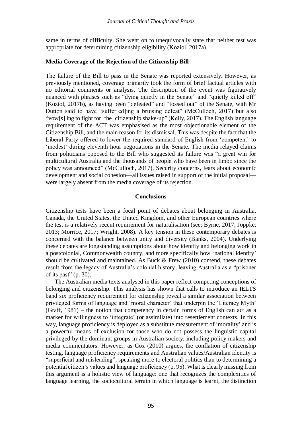same in terms of difficulty. She went on to unequivocally state that neither test was appropriate for determining citizenship eligibility (Koziol, 2017a).

#### **Media Coverage of the Rejection of the Citizenship Bill**

The failure of the Bill to pass in the Senate was reported extensively. However, as previously mentioned, coverage primarily took the form of brief factual articles with no editorial comments or analysis. The description of the event was figuratively nuanced with phrases such as "dying quietly in the Senate" and "quietly killed off" (Koziol, 2017b), as having been "defeated" and "tossed out" of the Senate, with Mr Dutton said to have "suffer[ed]ing a bruising defeat" (McCulloch, 2017) but also "vow[s] ing to fight for [the] citizenship shake-up" (Kelly, 2017). The English language requirement of the ACT was emphasised as the most objectionable element of the Citizenship Bill, and the main reason for its dismissal. This was despite the fact that the Liberal Party offered to lower the required standard of English from 'competent' to 'modest' during eleventh hour negotiations in the Senate. The media relayed claims from politicians opposed to the Bill who suggested its failure was "a great win for multicultural Australia and the thousands of people who have been in limbo since the policy was announced" (McCulloch, 2017). Security concerns, fears about economic development and social cohesion—all issues raised in support of the initial proposal were largely absent from the media coverage of its rejection.

#### **Conclusions**

Citizenship tests have been a focal point of debates about belonging in Australia, Canada, the United States, the United Kingdom, and other European countries where the test is a relatively recent requirement for naturalisation (see; Byrne, 2017; Joppke, 2013; Morrice, 2017; Wright, 2008). A key tension in these contemporary debates is concerned with the balance between unity and diversity (Banks, 2004). Underlying these debates are longstanding assumptions about how identity and belonging work in a postcolonial, Commonwealth country, and more specifically how 'national identity' should be cultivated and maintained. As Buck & Frew (2010) contend, these debates result from the legacy of Australia's colonial history, leaving Australia as a "prisoner of its past"  $(p. 30)$ .

The Australian media texts analysed in this paper reflect competing conceptions of belonging and citizenship. This analysis has shown that calls to introduce an IELTS band six proficiency requirement for citizenship reveal a similar association between privileged forms of language and 'moral character' that underpin the 'Literacy Myth' (Graff, 1981) – the notion that competency in certain forms of English can act as a marker for willingness to 'integrate' (or assimilate) into resettlement contexts. In this way, language proficiency is deployed as a substitute measurement of 'morality' and is a powerful means of exclusion for those who do not possess the linguistic capital privileged by the dominant groups in Australian society, including policy makers and media commentators. However, as Cox (2010) argues, the conflation of citizenship testing, language proficiency requirements and Australian values/Australian identity is "superficial and misleading", speaking more to electoral politics than to determining a potential citizen's values and language proficiency (p. 95). What is clearly missing from this argument is a holistic view of language: one that recognizes the complexities of language learning, the sociocultural terrain in which language is learnt, the distinction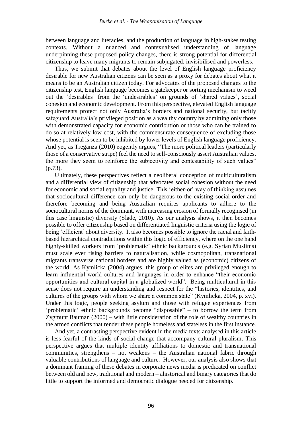between language and literacies, and the production of language in high-stakes testing contexts. Without a nuanced and contexualised understanding of language underpinning these proposed policy changes, there is strong potential for differential citizenship to leave many migrants to remain subjugated, invisibilised and powerless.

Thus, we submit that debates about the level of English language proficiency desirable for new Australian citizens can be seen as a proxy for debates about what it means to be an Australian citizen today. For advocates of the proposed changes to the citizenship test, English language becomes a gatekeeper or sorting mechanism to weed out the 'desirables' from the 'undesirables' on grounds of 'shared values', social cohesion and economic development. From this perspective, elevated English language requirements protect not only Australia's borders and national security, but tacitly safeguard Australia's privileged position as a wealthy country by admitting only those with demonstrated capacity for economic contribution or those who can be trained to do so at relatively low cost, with the commensurate consequence of excluding those whose potential is seen to be inhibited by lower levels of English language proficiency. And yet, as Treganza (2010) cogently argues, "The more political leaders (particularly those of a conservative stripe) feel the need to self-consciously assert Australian values, the more they seem to reinforce the subjectivity and contestability of such values" (p.73).

Ultimately, these perspectives reflect a neoliberal conception of multiculturalism and a differential view of citizenship that advocates social cohesion without the need for economic and social equality and justice. This 'either-or' way of thinking assumes that sociocultural difference can only be dangerous to the existing social order and therefore becoming and being Australian requires applicants to adhere to the sociocultural norms of the dominant, with increasing erosion of formally recognised (in this case linguistic) diversity (Slade, 2010). As our analysis shows, it then becomes possible to offer citizenship based on differentiated linguistic criteria using the logic of being 'efficient' about diversity. It also becomes possible to ignore the racial and faithbased hierarchical contradictions within this logic of efficiency, where on the one hand highly-skilled workers from 'problematic' ethnic backgrounds (e.g. Syrian Muslims) must scale ever rising barriers to naturalisation, while cosmopolitan, transnational migrants transverse national borders and are highly valued as (economic) citizens of the world. As Kymlicka (2004) argues, this group of elites are privileged enough to learn influential world cultures and languages in order to enhance "their economic opportunities and cultural capital in a globalized world". Being multicultural in this sense does not require an understanding and respect for the "histories, identities, and cultures of the groups with whom we share a common state" (Kymlicka, 2004, p. xvi). Under this logic, people seeking asylum and those with refugee experiences from 'problematic' ethnic backgrounds become "disposable" – to borrow the term from Zygmunt Bauman (2000) – with little consideration of the role of wealthy countries in the armed conflicts that render these people homeless and stateless in the first instance.

And yet, a contrasting perspective evident in the media texts analysed in this article is less fearful of the kinds of social change that accompany cultural pluralism. This perspective argues that multiple identity affiliations to domestic and transnational communities, strengthens – not weakens – the Australian national fabric through valuable contributions of language and culture. However, our analysis also shows that a dominant framing of these debates in corporate news media is predicated on conflict between old and new, traditional and modern – ahistorical and binary categories that do little to support the informed and democratic dialogue needed for citizenship.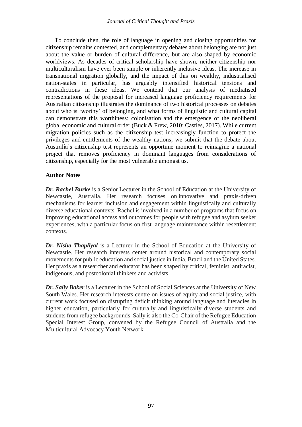To conclude then, the role of language in opening and closing opportunities for citizenship remains contested, and complementary debates about belonging are not just about the value or burden of cultural difference, but are also shaped by economic worldviews. As decades of critical scholarship have shown, neither citizenship nor multiculturalism have ever been simple or inherently inclusive ideas. The increase in transnational migration globally, and the impact of this on wealthy, industrialised nation-states in particular, has arguably intensified historical tensions and contradictions in these ideas. We contend that our analysis of mediatised representations of the proposal for increased language proficiency requirements for Australian citizenship illustrates the dominance of two historical processes on debates about who is 'worthy' of belonging, and what forms of linguistic and cultural capital can demonstrate this worthiness: colonisation and the emergence of the neoliberal global economic and cultural order (Buck & Frew, 2010; Castles, 2017). While current migration policies such as the citizenship test increasingly function to protect the privileges and entitlements of the wealthy nations, we submit that the debate about Australia's citizenship test represents an opportune moment to reimagine a national project that removes proficiency in dominant languages from considerations of citizenship, especially for the most vulnerable amongst us.

### **Author Notes**

*Dr. Rachel Burke* is a Senior Lecturer in the School of Education at the University of Newcastle, Australia. Her research focuses on innovative and praxis-driven mechanisms for learner inclusion and engagement within linguistically and culturally diverse educational contexts. Rachel is involved in a number of programs that focus on improving educational access and outcomes for people with refugee and asylum seeker experiences, with a particular focus on first language maintenance within resettlement contexts.

*Dr. Nisha Thapliyal* is a Lecturer in the School of Education at the University of Newcastle. Her research interests center around historical and contemporary social movements for public education and social justice in India, Brazil and the United States. Her praxis as a researcher and educator has been shaped by critical, feminist, antiracist, indigenous, and postcolonial thinkers and activists.

*Dr. Sally Baker* is a Lecturer in the School of Social Sciences at the University of New South Wales. Her research interests centre on issues of equity and social justice, with current work focused on disrupting deficit thinking around language and literacies in higher education, particularly for culturally and linguistically diverse students and students from refugee backgrounds. Sally is also the Co-Chair of the Refugee Education Special Interest Group, convened by the Refugee Council of Australia and the Multicultural Advocacy Youth Network.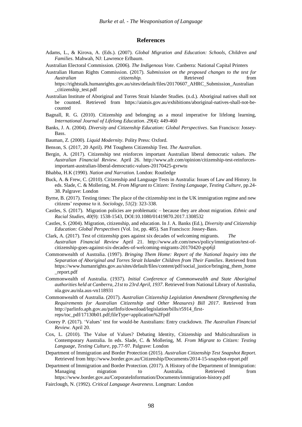#### **References**

- Adams, L., & Kirova, A. (Eds.). (2007). *Global Migration and Education: Schools, Children and Families.* Mahwah, NJ: Lawrence Erlbaum.
- Australian Electoral Commission. (2006). *The Indigenous Vote*. Canberra: National Capital Printers
- Australian Human Rights Commission. (2017). *Submission on the proposed changes to the test for Australian citizenship.* Retrieved from https://rightstalk.humanrights.gov.au/sites/default/files/20170607\_AHRC\_Submission\_Australian
- Australian Institute of Aboriginal and Torres Strait Islander Studies. (n.d.). Aboriginal natives shall not be counted. Retrieved from [https://aiatsis.gov.au/exhibitions/aboriginal-natives-shall-not-be](https://aiatsis.gov.au/exhibitions/aboriginal-natives-shall-not-be-counted)[counted](https://aiatsis.gov.au/exhibitions/aboriginal-natives-shall-not-be-counted)
- Bagnall, R. G. (2010). Citizenship and belonging as a moral imperative for lifelong learning, *International Journal of Lifelong Education*. *29*(4): 449-460
- Banks, J. A. (2004). *Diversity and Citizenship Education: Global Perspectives*. San Francisco: Jossey-Bass.
- Bauman, Z. (2000). *Liquid Modernity.* Polity Press: Oxford.

\_citizenship\_test.pdf

- Benson, S. (2017, 20 April). PM Toughens Citizenship Test. *The Australian*.
- Bergin, A. (2017). Citizenship test reinforces important Australian liberal democratic values. *The Australian Financial Review*. April 26. http://www.afr.com/opinion/citizenship-test-reinforcesimportant-australian-liberal-democratic-values-20170425-gvrwtu
- Bhabba, H.K (1990). *Nation and Narration*. London: Routledge
- Buck, A. & Frew, C. (2010). Citizenship and Language Tests in Australia: Issues of Law and History. In eds. Slade, C. & Mollering, M. *From Migrant to Citizen: Testing Language, Testing Culture, pp.24-*38. Palgrave: London
- Byrne, B. (2017). Testing times: The place of the citizenship test in the UK immigration regime and new citizens' response to it. *Sociology, 51*(2): 323-338.
- Castles, S. (2017). Migration policies are problematic because they are about migration. *Ethnic and Racial Studies, 40*(9): 1538-1543, DOI:10.1080/01419870.2017.1308532
- Castles, S. (2004). Migration, citizenship, and education. In J. A. Banks (Ed.), *Diversity and Citizenship Education: Global Perspectives* (Vol. 1st, pp. 485). San Francisco: Jossey-Bass.
- Clark, A. (2017). Test of citizenship goes against six decades of welcoming migrants. *Australian Financial Review* April 21. http://www.afr.com/news/policy/immigration/test-ofcitizenship-goes-against-six-decades-of-welcoming-migrants-20170420-gvp6jl
- Commonwealth of Australia. (1997). *Bringing Them Home: Report of the National Inquiry into the Separation of Aboriginal and Torres Strait Islander Children from Their Families*. Retrieved from https://www.humanrights.gov.au/sites/default/files/content/pdf/social\_justice/bringing\_them\_home \_report.pdf
- Commonwealth of Australia. (1937). *Initial Conference of Commonwealth and State Aboriginal authorities held at Canberra, 21st to 23rd April, 1937*. Retrieved from National Library of Australia, nla.gov.au/nla.aus-vn118931
- Commonwealth of Australia. (2017). *Australian Citizenship Legislation Amendment (Strengthening the Requirements for Australian Citizenship and Other Measures) Bill 2017*. Retrieved from [http://parlinfo.aph.gov.au/parlInfo/download/legislation/bills/r5914\\_first](http://parlinfo.aph.gov.au/parlInfo/download/legislation/bills/r5914_first-reps/toc_pdf/17130b01.pdf;fileType=application%2Fpdf)[reps/toc\\_pdf/17130b01.pdf;fileType=application%2Fpdf](http://parlinfo.aph.gov.au/parlInfo/download/legislation/bills/r5914_first-reps/toc_pdf/17130b01.pdf;fileType=application%2Fpdf)
- Coorey P. (2017). 'Values' test for would-be Australians: Entry crackdown. *The Australian Financial Review*. April 20.
- Cox, L. (2010). The Value of Values? Debating Identity, Citizenship and Multiculturalism in Contemporary Australia. In eds. Slade, C. & Mollering, M. *From Migrant to Citizen: Testing Language, Testing Culture,* pp.77-97. Palgrave: London
- Department of Immigration and Border Protection (2015). *Australian Citizenship Test Snapshot Report.*  Retrieved from<http://www.border.gov.au/Citizenship/Documents/2014-15-snapshot-report.pdf>

Department of Immigration and Border Protection. (2017). A History of the Department of Immigration: Managing migration to Australia. Retrieved from <https://www.border.gov.au/CorporateInformation/Documents/immigration-history.pdf>

Fairclough, N. (1992). *Critical Language Awareness*. Longman: London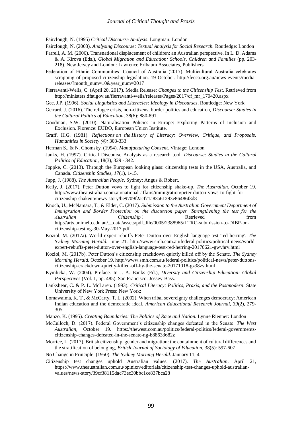Fairclough, N. (1995) *Critical Discourse Analysis*. Longman: London

Fairclough, N. (2003). *Analysing Discourse: Textual Analysis for Social Research.* Routledge: London

- Farrell, A. M. (2006). Transnational displacement of children: an Australian perspective. In L. D. Adams & A. Kirova (Eds.), *Global Migration and Education: Schools, Children and Families* (pp. 203- 218). New Jersey and London: Lawrence Erlbaum Associates, Publishers
- Federation of Ethnic Communities' Council of Australia (2017). Multicultural Australia celebrates scrapping of proposed citizenship legislation. 19 October. http://fecca.org.au/news-events/mediareleases/?month\_num=10&year\_num=2017
- Fierravanti-Wells, C. (April 20, 2017). Media Release: *Changes to the Citizenship Test*. Retrieved from [http://ministers.dfat.gov.au/fierravanti-wells/releases/Pages/2017/cf\\_mr\\_170420.aspx](http://ministers.dfat.gov.au/fierravanti-wells/releases/Pages/2017/cf_mr_170420.aspx)
- Gee, J.P. (1996). *Social Linguistics and Literacies: Ideology in Discourses*. Routledge: New York
- Gerrard, J. (2016). The refugee crisis, non-citizens, border politics and education, *Discourse: Studies in the Cultural Politics of Education,* 38(6): 880-891.
- Goodman, S.W. (2010). Naturalisation Policies in Europe: Exploring Patterns of Inclusion and Exclusion. Florence: EUDO, European Union Institute.
- Graff, H.G. (1981). *Reflections on the History of Literacy: Overview, Critique, and Proposals. Humanities in Society (4):* 303-333
- Herman S., & N. Chomsky. (1994). *Manufacturing Consent*. Vintage: London
- Janks, H. (1997). Critical Discourse Analysis as a research tool. *Discourse: Studies in the Cultural Politics of Education*, 18(3), 329 - 342.
- Joppke, C. (2013). Through the European looking glass: citizenship tests in the USA, Australia, and Canada. *Citizenship Studies, 17*(1), 1-15.
- Jupp, J. (1988). *The Australian People*. Sydney: Angus & Robert.
- Kelly, J. (2017). Peter Dutton vows to fight for citizenship shake-up. *The Australian*. October 19. [http://www.theaustralian.com.au/national-affairs/immigration/peter-dutton-vows-to-fight-for](http://www.theaustralian.com.au/national-affairs/immigration/peter-dutton-vows-to-fight-for-citizenship-shakeup/news-story/be9709f2acf71a83a61293e86486f3d8)[citizenship-shakeup/news-story/be9709f2acf71a83a61293e86486f3d8](http://www.theaustralian.com.au/national-affairs/immigration/peter-dutton-vows-to-fight-for-citizenship-shakeup/news-story/be9709f2acf71a83a61293e86486f3d8)
- Knoch, U., McNamara, T., & Elder, C. (2017). *Submission to the Australian Government Department of Immigration and Border Protection on the discussion paper 'Strengthening the test for the Australian Citizenship'.* Retrieved from **C** [http://arts.unimelb.edu.au/\\_\\_data/assets/pdf\\_file/0005/2388965/LTRC-submission-to-DIBP-on](http://arts.unimelb.edu.au/__data/assets/pdf_file/0005/2388965/LTRC-submission-to-DIBP-on-citizenship-testing-30-May-2017.pdf)[citizenship-testing-30-May-2017.pdf](http://arts.unimelb.edu.au/__data/assets/pdf_file/0005/2388965/LTRC-submission-to-DIBP-on-citizenship-testing-30-May-2017.pdf)
- Koziol, M. (2017a). World expert rebuffs Peter Dutton over English language test 'red herring'. *The Sydney Morning Herald.* June 21. http://www.smh.com.au/federal-politics/political-news/worldexpert-rebuffs-peter-dutton-over-english-language-test-red-herring-20170621-gwvhrv.html
- Koziol, M. (2017b). Peter Dutton's citizenship crackdown quietly killed off by the Senate. *The Sydney Morning Herald.* October 19[. http://www.smh.com.au/federal-politics/political-news/peter-duttons](http://www.smh.com.au/federal-politics/political-news/peter-duttons-citizenship-crackdown-quietly-killed-off-by-the-senate-20171018-gz38zv.html)[citizenship-crackdown-quietly-killed-off-by-the-senate-20171018-gz38zv.html](http://www.smh.com.au/federal-politics/political-news/peter-duttons-citizenship-crackdown-quietly-killed-off-by-the-senate-20171018-gz38zv.html)
- Kymlicka, W. (2004). Preface. In J. A. Banks (Ed.), *Diversity and Citizenship Education: Global Perspectives* (Vol. 1, pp. 485). San Francisco: Jossey-Bass.
- Lankshear, C. & P. L. McLaren. (1993). *Critical Literacy: Politics, Praxis, and the Postmodern.* State University of New York Press: New York:
- Lomawaima, K. T., & McCarty, T. L. (2002). When tribal sovereignty challenges democracy: American Indian education and the democratic ideal. *American Educational Research Journal, 39*(2), 279- 305.
- Manzo, K. (1995). *Creating Boundaries: The Politics of Race and Nation.* Lynne Rienner: London
- McCulloch, D. (2017). Federal Government's citizenship changes defeated in the Senate. *The West Australian*, October 19. https://thewest.com.au/politics/federal-politics/federal-governmentscitizenship-changes-defeated-in-the-senate-ng-b88633682z
- Morrice, L. (2017). British citizenship, gender and migration: the containment of cultural differences and the stratification of belonging, *British Journal of Sociology of Education,* 38(5): 597-607
- No Change in Principle. (1950). *The Sydney Morning Herald*. January 11, 4
- Citizenship test changes uphold Australian values. (2017). *The Australian*. April 21, https://www.theaustralian.com.au/opinion/editorials/citizenship-test-changes-uphold-australianvalues/news-story/39cf38115dac73ec30bbc1ce837bca28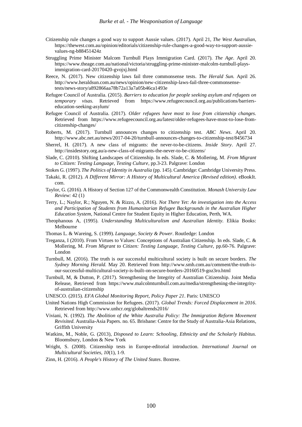- Citizenship rule changes a good way to support Aussie values. (2017). April 21, *The West Australian*, [https://thewest.com.au/opinion/editorials/citizenship-rule-changes-a-good-way-to-support-aussie](https://thewest.com.au/opinion/editorials/citizenship-rule-changes-a-good-way-to-support-aussie-values-ng-b88451424z)[values-ng-b88451424z](https://thewest.com.au/opinion/editorials/citizenship-rule-changes-a-good-way-to-support-aussie-values-ng-b88451424z)
- Struggling Prime Minister Malcom Turnbull Plays Immigration Card. (2017). *The Age*. April 20. https://www.theage.com.au/national/victoria/struggling-prime-minister-malcolm-turnbull-playsimmigration-card-20170420-gvojxj.html
- Reece, N. (2017). New citizenship laws fail three commonsense tests. *The Herald Sun.* April 26. [http://www.heraldsun.com.au/news/opinion/new-citizenship-laws-fail-three-commonsense](http://www.heraldsun.com.au/news/opinion/new-citizenship-laws-fail-three-commonsense-tests/news-story/a892866aa78b72a13a7a05b46ca1493e)[tests/news-story/a892866aa78b72a13a7a05b46ca1493e](http://www.heraldsun.com.au/news/opinion/new-citizenship-laws-fail-three-commonsense-tests/news-story/a892866aa78b72a13a7a05b46ca1493e)
- Refugee Council of Australia. (2015). *Barriers to education for people seeking asylum and refugees on temporary visas.* Retrieved from [https://www.refugeecouncil.org.au/publications/barriers](https://www.refugeecouncil.org.au/publications/barriers-education-seeking-asylum/)[education-seeking-asylum/](https://www.refugeecouncil.org.au/publications/barriers-education-seeking-asylum/)
- Refugee Council of Australia. (2017). *Older refugees have most to lose from citizenship changes.*  Retrieved from [https://www.refugeecouncil.org.au/latest/older-refugees-have-most-to-lose-from](https://www.refugeecouncil.org.au/latest/older-refugees-have-most-to-lose-from-citizenship-changes/)[citizenship-changes/](https://www.refugeecouncil.org.au/latest/older-refugees-have-most-to-lose-from-citizenship-changes/)
- Roberts, M. (2017). Turnbull announces changes to citizenship test. *ABC News*. April 20. <http://www.abc.net.au/news/2017-04-20/turnbull-announces-changes-to-citizenship-test/8456734>
- Sherrel, H. (2017). A new class of migrants: the never-to-be-citizens. *Inside Story*. April 27. <http://insidestory.org.au/a-new-class-of-migrants-the-never-to-be-citizens/>
- Slade, C. (2010). Shifting Landscapes of Citizenship. In eds. Slade, C. & Mollering, M. *From Migrant to Citizen: Testing Language, Testing Culture,* pp.3-23. Palgrave: London
- Stokes G. (1997).*The Politics of Identity in Australia* (pp*.* 145). Cambridge: Cambridge University Press.
- Takaki, R. (2012). *A Different Mirror: A History of Multicultural America (Revised edition)*. eBookIt. com.
- Taylor, G. (2016). A History of Section 127 of the Commonwealth Constitution. *Monash University Law Review:* 42 (1)
- Terry, L.; Naylor, R.; Nguyen, N. & Rizzo, A. (2016). *Not There Yet: An investigation into the Access and Participation of Students from Humanitarian Refugee Backgrounds in the Australian Higher Education System*, National Centre for Student Equity in Higher Education, Perth, WA.
- Theophanous A, (1995). *Understanding Multiculturalism and Australian Identity.* Elikia Books: Melbourne
- Thomas L. & Wareing, S. (1999).*Language, Society & Power*. Routledge: London
- Treganza, I (2010). From Virtues to Values: Conceptions of Australian Citizenship. In eds. Slade, C. & Mollering, M. *From Migrant to Citizen: Testing Language, Testing Culture,* pp.60-76. Palgrave: London
- Turnbull, M. (2016). The truth is our successful multicultural society is built on secure borders. *The Sydney Morning Herald.* May 20. Retrieved from [http://www.smh.com.au/comment/the-truth-is](http://www.smh.com.au/comment/the-truth-is-our-successful-multicultural-society-is-built-on-secure-borders-20160519-goz3ro.html)[our-successful-multicultural-society-is-built-on-secure-borders-20160519-goz3ro.html](http://www.smh.com.au/comment/the-truth-is-our-successful-multicultural-society-is-built-on-secure-borders-20160519-goz3ro.html)
- Turnbull, M, & Dutton, P. (2017). Strengthening the Integrity of Australian Citizenship. Joint Media Release, Retrieved from [https://www.malcolmturnbull.com.au/media/strengthening-the-integrity](https://www.malcolmturnbull.com.au/media/strengthening-the-integrity-of-australian-citizenship)[of-australian-citizenship](https://www.malcolmturnbull.com.au/media/strengthening-the-integrity-of-australian-citizenship)
- UNESCO. (2015). *EFA Global Monitoring Report, Policy Paper 21*. Paris: UNESCO
- United Nations High Commission for Refugees. (2017). *Global Trends: Forced Displacement in 2016*. Retrieved from<http://www.unhcr.org/globaltrends2016/>
- Viviani, N. (1992). *The Abolition of the White Australia Policy: The Immigration Reform Movement Revisited.* Australia-Asia Papers. no. 65. Brisbane: Centre for the Study of Australia-Asia Relations, Griffith University
- Watkins, M., Noble, G. (2013), *Disposed to Learn: Schooling, Ethnicity and the Scholarly Habitus.* Bloomsbury, London & New York
- Wright, S. (2008). Citizenship tests in Europe-editorial introduction. *International Journal on Multicultural Societies, 10*(1), 1-9.
- Zinn, H. (2016). *A People's History of The United States*. Boxtree.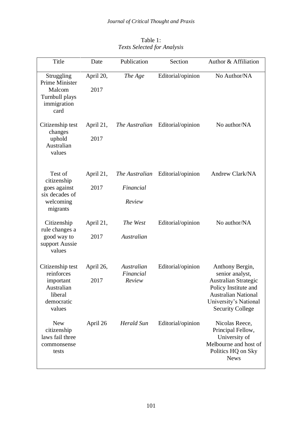| Title                                                                                        | Date              | Publication             | Section           | Author & Affiliation                                                                                                                  |
|----------------------------------------------------------------------------------------------|-------------------|-------------------------|-------------------|---------------------------------------------------------------------------------------------------------------------------------------|
| Struggling<br><b>Prime Minister</b><br>Malcom<br>Turnbull plays<br>immigration<br>card       | April 20,<br>2017 | The Age                 | Editorial/opinion | No Author/NA                                                                                                                          |
| Citizenship test<br>changes<br>uphold<br>Australian<br>values                                | April 21,<br>2017 | The Australian          | Editorial/opinion | No author/NA                                                                                                                          |
| Test of<br>citizenship<br>goes against<br>six decades of<br>welcoming<br>migrants            | April 21,         | The Australian          | Editorial/opinion | Andrew Clark/NA                                                                                                                       |
|                                                                                              | 2017              | Financial               |                   |                                                                                                                                       |
|                                                                                              |                   | Review                  |                   |                                                                                                                                       |
| Citizenship<br>rule changes a<br>good way to<br>support Aussie<br>values                     | April 21,         | The West                | Editorial/opinion | No author/NA                                                                                                                          |
|                                                                                              | 2017              | Australian              |                   |                                                                                                                                       |
| Citizenship test<br>reinforces<br>important<br>Australian<br>liberal<br>democratic<br>values | April 26,         | Australian<br>Financial | Editorial/opinion | Anthony Bergin,<br>senior analyst,                                                                                                    |
|                                                                                              | 2017              | Review                  |                   | <b>Australian Strategic</b><br>Policy Institute and<br><b>Australian National</b><br>University's National<br><b>Security College</b> |
| <b>New</b><br>citizenship<br>laws fail three<br>commonsense<br>tests                         | April 26          | <b>Herald Sun</b>       | Editorial/opinion | Nicolas Reece,<br>Principal Fellow,<br>University of<br>Melbourne and host of<br>Politics HQ on Sky<br><b>News</b>                    |

Table 1: *Texts Selected for Analysis*